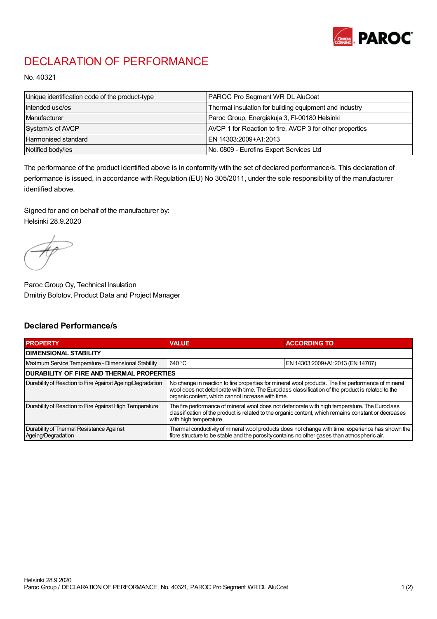

## DECLARATION OF PERFORMANCE

No. 40321

| Unique identification code of the product-type | <b>PAROC Pro Segment WR DL AluCoat</b>                   |
|------------------------------------------------|----------------------------------------------------------|
| Intended use/es                                | Thermal insulation for building equipment and industry   |
| Manufacturer                                   | Paroc Group, Energiakuja 3, FI-00180 Helsinki            |
| System/s of AVCP                               | AVCP 1 for Reaction to fire, AVCP 3 for other properties |
| Harmonised standard                            | IEN 14303:2009+A1:2013                                   |
| Notified body/ies                              | No. 0809 - Eurofins Expert Services Ltd                  |

The performance of the product identified above is in conformity with the set of declared performance/s. This declaration of performance is issued, in accordance with Regulation (EU) No 305/2011, under the sole responsibility of the manufacturer identified above.

Signed for and on behalf of the manufacturer by: Helsinki 28.9.2020

Paroc Group Oy, Technical Insulation Dmitriy Bolotov, Product Data and Project Manager

## Declared Performance/s

| <b>PROPERTY</b>                                                | <b>VALUE</b>                                                                                                                                                                                                                                                   | <b>ACCORDING TO.</b>             |  |
|----------------------------------------------------------------|----------------------------------------------------------------------------------------------------------------------------------------------------------------------------------------------------------------------------------------------------------------|----------------------------------|--|
| <b>DIMENSIONAL STABILITY</b>                                   |                                                                                                                                                                                                                                                                |                                  |  |
| Maximum Service Temperature - Dimensional Stability            | 640 °C                                                                                                                                                                                                                                                         | EN 14303:2009+A1:2013 (EN 14707) |  |
| <b>DURABILITY OF FIRE AND THERMAL PROPERTIES</b>               |                                                                                                                                                                                                                                                                |                                  |  |
| Durability of Reaction to Fire Against Ageing/Degradation      | No change in reaction to fire properties for mineral wool products. The fire performance of mineral<br>wool does not deteriorate with time. The Euroclass classification of the product is related to the<br>organic content, which cannot increase with time. |                                  |  |
| Durability of Reaction to Fire Against High Temperature        | The fire performance of mineral wool does not deteriorate with high temperature. The Euroclass<br>classification of the product is related to the organic content, which remains constant or decreases<br>with high temperature.                               |                                  |  |
| Durability of Thermal Resistance Against<br>Ageing/Degradation | Thermal conductivity of mineral wool products does not change with time, experience has shown the<br>fibre structure to be stable and the porosity contains no other gases than atmospheric air.                                                               |                                  |  |